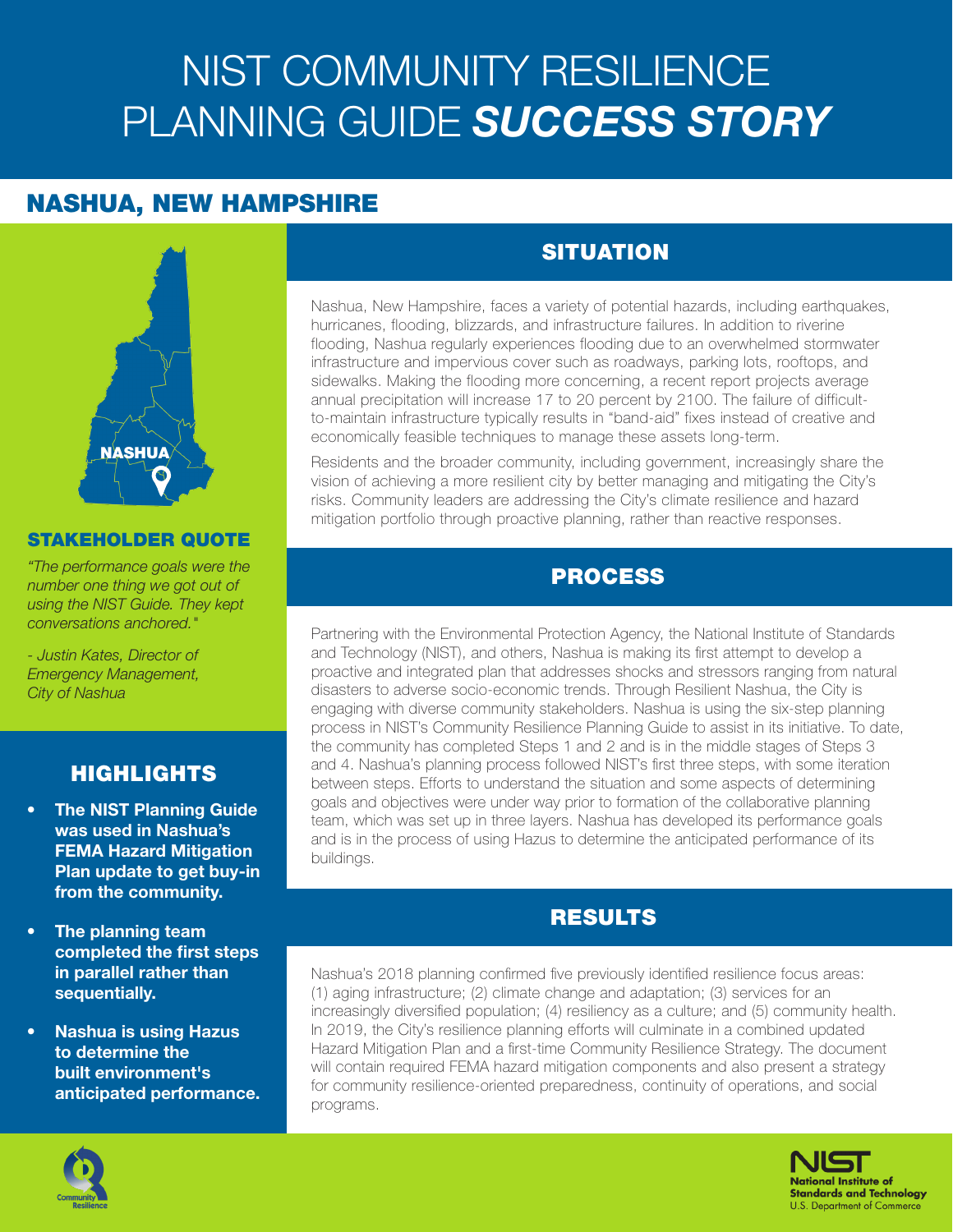# NIST COMMUNITY RESILIENCE PLANNING GUIDE *SUCCESS STORY*

# NASHUA, NEW HAMPSHIRE



#### STAKEHOLDER QUOTE

*"The performance goals were the number one thing we got out of using the NIST Guide. They kept conversations anchored."* 

*- Justin Kates, Director of Emergency Management, City of Nashua*

#### HIGHLIGHTS

- **The NIST Planning Guide** was used in Nashua's FEMA Hazard Mitigation Plan update to get buy-in from the community.
- The planning team completed the first steps in parallel rather than sequentially.
- Nashua is using Hazus to determine the built environment's anticipated performance.

## **SITUATION**

Nashua, New Hampshire, faces a variety of potential hazards, including earthquakes, hurricanes, flooding, blizzards, and infrastructure failures. In addition to riverine flooding, Nashua regularly experiences flooding due to an overwhelmed stormwater infrastructure and impervious cover such as roadways, parking lots, rooftops, and sidewalks. Making the flooding more concerning, a recent report projects average annual precipitation will increase 17 to 20 percent by 2100. The failure of difficultto-maintain infrastructure typically results in "band-aid" fixes instead of creative and economically feasible techniques to manage these assets long-term.

Residents and the broader community, including government, increasingly share the vision of achieving a more resilient city by better managing and mitigating the City's risks. Community leaders are addressing the City's climate resilience and hazard mitigation portfolio through proactive planning, rather than reactive responses.

#### PROCESS

Partnering with the Environmental Protection Agency, the National Institute of Standards and Technology (NIST), and others, Nashua is making its first attempt to develop a proactive and integrated plan that addresses shocks and stressors ranging from natural disasters to adverse socio-economic trends. Through Resilient Nashua, the City is engaging with diverse community stakeholders. Nashua is using the six-step planning process in NIST's Community Resilience Planning Guide to assist in its initiative. To date, the community has completed Steps 1 and 2 and is in the middle stages of Steps 3 and 4. Nashua's planning process followed NIST's first three steps, with some iteration between steps. Efforts to understand the situation and some aspects of determining goals and objectives were under way prior to formation of the collaborative planning team, which was set up in three layers. Nashua has developed its performance goals and is in the process of using Hazus to determine the anticipated performance of its buildings.

### RESULTS

Nashua's 2018 planning confirmed five previously identified resilience focus areas: (1) aging infrastructure; (2) climate change and adaptation; (3) services for an increasingly diversified population; (4) resiliency as a culture; and (5) community health. In 2019, the City's resilience planning efforts will culminate in a combined updated Hazard Mitigation Plan and a first-time Community Resilience Strategy. The document will contain required FEMA hazard mitigation components and also present a strategy for community resilience-oriented preparedness, continuity of operations, and social programs.